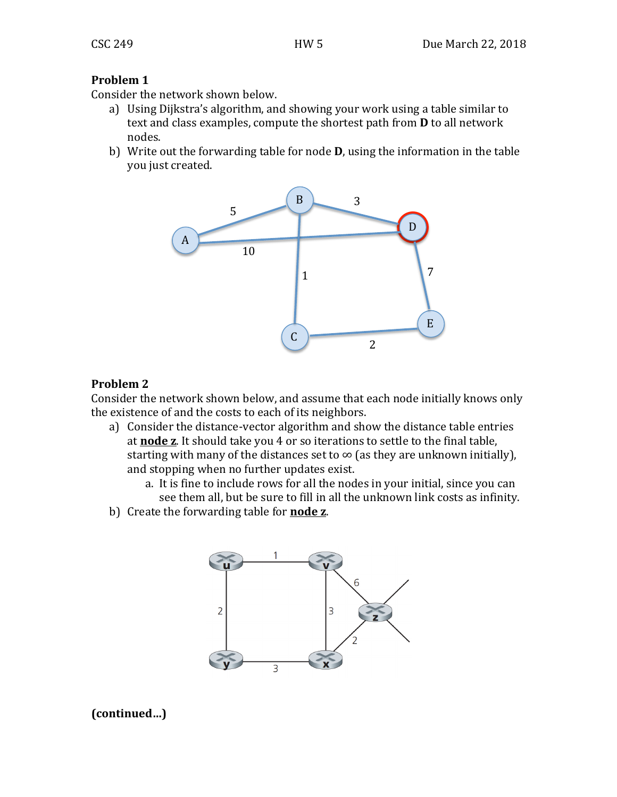## **Problem 1**

Consider the network shown below.

- a) Using Dijkstra's algorithm, and showing your work using a table similar to text and class examples, compute the shortest path from **D** to all network nodes.
- b) Write out the forwarding table for node **D**, using the information in the table you just created.



## **Problem 2**

Consider the network shown below, and assume that each node initially knows only the existence of and the costs to each of its neighbors.

- a) Consider the distance-vector algorithm and show the distance table entries at **node z**. It should take you 4 or so iterations to settle to the final table, starting with many of the distances set to  $\infty$  (as they are unknown initially), and stopping when no further updates exist.
	- a. It is fine to include rows for all the nodes in your initial, since you can see them all, but be sure to fill in all the unknown link costs as infinity.
- b) Create the forwarding table for **node z**.



**(continued…)**